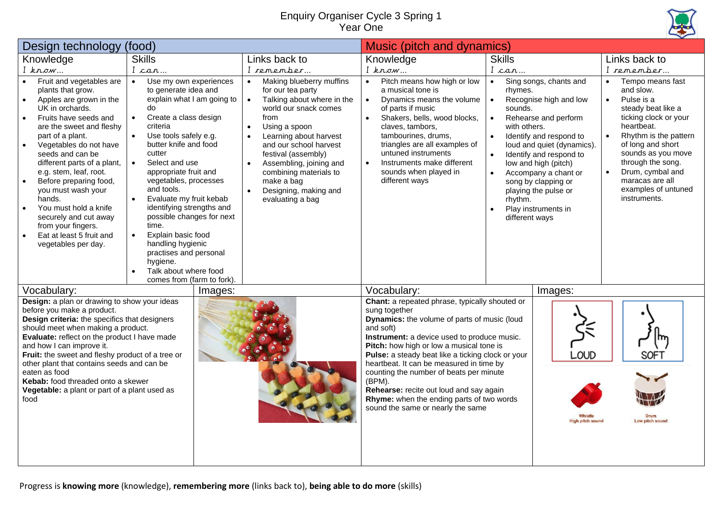## Enquiry Organiser Cycle 3 Spring 1 Year One



| Design technology (food)                                                                                                                                                                                                                                                                                                                                                                                                                                                                                             |                                                                                                                                                                                                                                                                                                                                                                                                                                                                                                                                                                                           |                                                                                                                                                                                                                                                                                                                                                                                           | Music (pitch and dynamics)                                                                                                                                                                                                                                                                                                                                                                                                                                                                                 |                                                                                                                                                                                                                                                                                                                                                                                                                                     |                                                                                                                                                                                                                                                                                              |  |
|----------------------------------------------------------------------------------------------------------------------------------------------------------------------------------------------------------------------------------------------------------------------------------------------------------------------------------------------------------------------------------------------------------------------------------------------------------------------------------------------------------------------|-------------------------------------------------------------------------------------------------------------------------------------------------------------------------------------------------------------------------------------------------------------------------------------------------------------------------------------------------------------------------------------------------------------------------------------------------------------------------------------------------------------------------------------------------------------------------------------------|-------------------------------------------------------------------------------------------------------------------------------------------------------------------------------------------------------------------------------------------------------------------------------------------------------------------------------------------------------------------------------------------|------------------------------------------------------------------------------------------------------------------------------------------------------------------------------------------------------------------------------------------------------------------------------------------------------------------------------------------------------------------------------------------------------------------------------------------------------------------------------------------------------------|-------------------------------------------------------------------------------------------------------------------------------------------------------------------------------------------------------------------------------------------------------------------------------------------------------------------------------------------------------------------------------------------------------------------------------------|----------------------------------------------------------------------------------------------------------------------------------------------------------------------------------------------------------------------------------------------------------------------------------------------|--|
| Knowledge                                                                                                                                                                                                                                                                                                                                                                                                                                                                                                            | <b>Skills</b>                                                                                                                                                                                                                                                                                                                                                                                                                                                                                                                                                                             | Links back to                                                                                                                                                                                                                                                                                                                                                                             | Knowledge                                                                                                                                                                                                                                                                                                                                                                                                                                                                                                  | <b>Skills</b>                                                                                                                                                                                                                                                                                                                                                                                                                       | Links back to                                                                                                                                                                                                                                                                                |  |
| $I$ know                                                                                                                                                                                                                                                                                                                                                                                                                                                                                                             | I can                                                                                                                                                                                                                                                                                                                                                                                                                                                                                                                                                                                     | I remember                                                                                                                                                                                                                                                                                                                                                                                | $I$ know                                                                                                                                                                                                                                                                                                                                                                                                                                                                                                   | I can                                                                                                                                                                                                                                                                                                                                                                                                                               | I remember                                                                                                                                                                                                                                                                                   |  |
| Fruit and vegetables are<br>$\bullet$<br>plants that grow.<br>Apples are grown in the<br>UK in orchards.<br>Fruits have seeds and<br>are the sweet and fleshy<br>part of a plant.<br>Vegetables do not have<br>$\bullet$<br>seeds and can be<br>different parts of a plant,<br>e.g. stem, leaf, root.<br>Before preparing food,<br>$\bullet$<br>you must wash your<br>hands.<br>You must hold a knife<br>securely and cut away<br>from your fingers.<br>Eat at least 5 fruit and<br>$\bullet$<br>vegetables per day. | Use my own experiences<br>$\bullet$<br>to generate idea and<br>explain what I am going to<br>do<br>Create a class design<br>$\bullet$<br>criteria<br>$\bullet$<br>Use tools safely e.g.<br>butter knife and food<br>cutter<br>Select and use<br>$\bullet$<br>appropriate fruit and<br>vegetables, processes<br>and tools.<br>Evaluate my fruit kebab<br>$\bullet$<br>identifying strengths and<br>possible changes for next<br>time.<br>Explain basic food<br>$\bullet$<br>handling hygienic<br>practises and personal<br>hygiene.<br>Talk about where food<br>comes from (farm to fork). | Making blueberry muffins<br>for our tea party<br>Talking about where in the<br>$\bullet$<br>world our snack comes<br>from<br>Using a spoon<br>$\bullet$<br>Learning about harvest<br>$\bullet$<br>and our school harvest<br>festival (assembly)<br>Assembling, joining and<br>$\bullet$<br>combining materials to<br>make a bag<br>Designing, making and<br>$\bullet$<br>evaluating a bag | Pitch means how high or low<br>$\bullet$<br>a musical tone is<br>Dynamics means the volume<br>of parts if music<br>Shakers, bells, wood blocks,<br>claves, tambors,<br>tambourines, drums,<br>triangles are all examples of<br>untuned instruments<br>Instruments make different<br>sounds when played in<br>different ways                                                                                                                                                                                | Sing songs, chants and<br>$\bullet$<br>rhymes.<br>Recognise high and low<br>$\bullet$<br>sounds.<br>$\bullet$<br>Rehearse and perform<br>with others.<br>Identify and respond to<br>$\bullet$<br>loud and quiet (dynamics).<br>Identify and respond to<br>$\bullet$<br>low and high (pitch)<br>Accompany a chant or<br>$\bullet$<br>song by clapping or<br>playing the pulse or<br>rhythm.<br>Play instruments in<br>different ways | Tempo means fast<br>and slow.<br>Pulse is a<br>$\bullet$<br>steady beat like a<br>ticking clock or your<br>heartbeat.<br>Rhythm is the pattern<br>of long and short<br>sounds as you move<br>through the song.<br>Drum, cymbal and<br>maracas are all<br>examples of untuned<br>instruments. |  |
| Vocabulary:                                                                                                                                                                                                                                                                                                                                                                                                                                                                                                          | Images:                                                                                                                                                                                                                                                                                                                                                                                                                                                                                                                                                                                   |                                                                                                                                                                                                                                                                                                                                                                                           | Vocabulary:                                                                                                                                                                                                                                                                                                                                                                                                                                                                                                | Images:                                                                                                                                                                                                                                                                                                                                                                                                                             |                                                                                                                                                                                                                                                                                              |  |
| Design: a plan or drawing to show your ideas<br>before you make a product.<br>Design criteria: the specifics that designers<br>should meet when making a product.<br>Evaluate: reflect on the product I have made<br>and how I can improve it.<br>Fruit: the sweet and fleshy product of a tree or<br>other plant that contains seeds and can be<br>eaten as food<br>Kebab: food threaded onto a skewer<br>Vegetable: a plant or part of a plant used as<br>food                                                     |                                                                                                                                                                                                                                                                                                                                                                                                                                                                                                                                                                                           |                                                                                                                                                                                                                                                                                                                                                                                           | Chant: a repeated phrase, typically shouted or<br>sung together<br>Dynamics: the volume of parts of music (loud<br>and soft)<br>Instrument: a device used to produce music.<br>Pitch: how high or low a musical tone is<br>Pulse: a steady beat like a ticking clock or your<br>heartbeat. It can be measured in time by<br>counting the number of beats per minute<br>(BPM).<br>Rehearse: recite out loud and say again<br>Rhyme: when the ending parts of two words<br>sound the same or nearly the same | LOUD<br>Whistle<br>ligh pitch sound                                                                                                                                                                                                                                                                                                                                                                                                 | <b>SOFT</b><br>Drum<br>Low pitch sound                                                                                                                                                                                                                                                       |  |